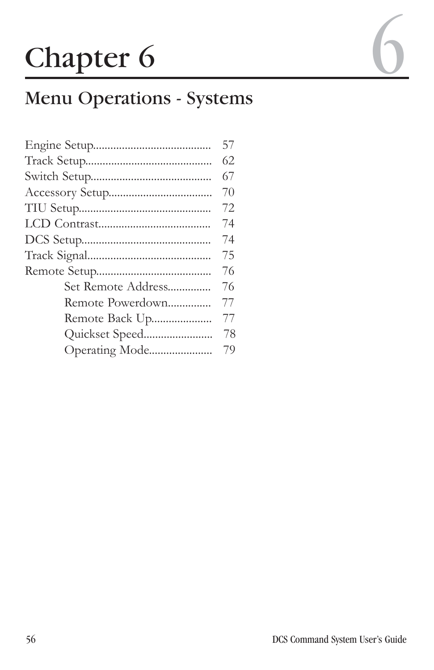# Chapter 6

# Menu Operations - Systems

|                    | 57  |
|--------------------|-----|
|                    | 62. |
|                    | 67  |
|                    | 70  |
|                    | 72. |
|                    | 74  |
|                    | 74  |
|                    | 75  |
|                    | 76  |
| Set Remote Address | 76  |
| Remote Powerdown   | 77  |
| Remote Back Up     | 77  |
|                    | 78  |
| Operating Mode     | 79  |
|                    |     |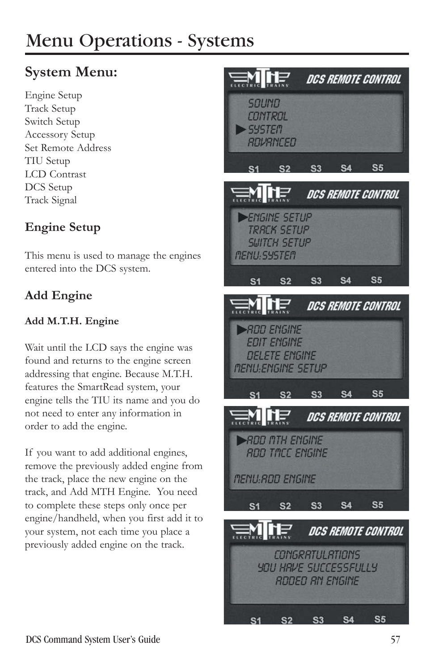# **System Menu:**

Engine Setup Track Setup Switch Setup Accessory Setup Set Remote Address TIU Setup LCD Contrast DCS Setup Track Signal

### **Engine Setup**

This menu is used to manage the engines entered into the DCS system.

## **Add Engine**

#### **Add M.T.H. Engine**

Wait until the LCD says the engine was found and returns to the engine screen addressing that engine. Because M.T.H. features the SmartRead system, your engine tells the TIU its name and you do not need to enter any information in order to add the engine.

If you want to add additional engines, remove the previously added engine from the track, place the new engine on the track, and Add MTH Engine. You need to complete these steps only once per engine/handheld, when you first add it to your system, not each time you place a previously added engine on the track.

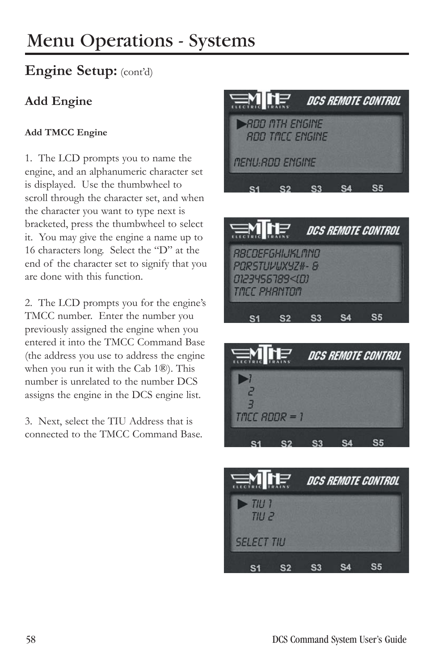# **Engine Setup:** (cont'd)

### **Add Engine**

#### **Add TMCC Engine**

1. The LCD prompts you to name the engine, and an alphanumeric character set is displayed. Use the thumbwheel to scroll through the character set, and when the character you want to type next is bracketed, press the thumbwheel to select it. You may give the engine a name up to 16 characters long. Select the "D" at the end of the character set to signify that you are done with this function.

2. The LCD prompts you for the engine's TMCC number. Enter the number you previously assigned the engine when you entered it into the TMCC Command Base (the address you use to address the engine when you run it with the Cab 1®). This number is unrelated to the number DCS assigns the engine in the DCS engine list.

3. Next, select the TIU Address that is connected to the TMCC Command Base.







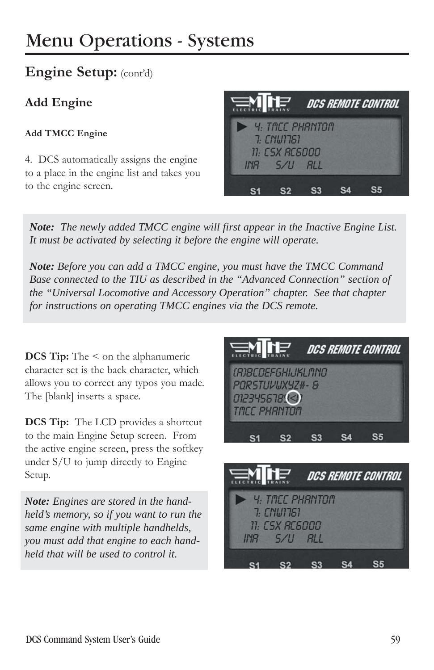### **Engine Setup:** (cont'd)

### **Add Engine**

#### **Add TMCC Engine**

4. DCS automatically assigns the engine to a place in the engine list and takes you to the engine screen.

| <b>ENTE</b> |                                 |  | DCS REMOTE CONTROL |
|-------------|---------------------------------|--|--------------------|
|             | Y: TACC PHANTON<br>$7.$ CNW1761 |  |                    |
|             | 11: CSX RC6000                  |  |                    |
|             | $HIB$ $5/11$ $BII$              |  |                    |
|             |                                 |  |                    |

*Note: The newly added TMCC engine will first appear in the Inactive Engine List. It must be activated by selecting it before the engine will operate.*

*Note: Before you can add a TMCC engine, you must have the TMCC Command Base connected to the TIU as described in the "Advanced Connection" section of the "Universal Locomotive and Accessory Operation" chapter. See that chapter for instructions on operating TMCC engines via the DCS remote.*

**DCS Tip:** The  $\leq$  on the alphanumeric character set is the back character, which allows you to correct any typos you made. The [blank] inserts a space.

**DCS Tip:** The LCD provides a shortcut to the main Engine Setup screen. From the active engine screen, press the softkey under S/U to jump directly to Engine Setup.

*Note: Engines are stored in the handheld's memory, so if you want to run the same engine with multiple handhelds, you must add that engine to each handheld that will be used to control it.*

| <b>ENLIE</b>                                                                       |  | DCS REMOTE CONTROL |  |
|------------------------------------------------------------------------------------|--|--------------------|--|
| <i>(B)BCDEF6HIJKLMNO</i><br>PORSTUVUXYZ#- &<br>012345678(<)<br><b>TACC PHANTON</b> |  |                    |  |
|                                                                                    |  |                    |  |

| $\equiv$ M $\Gamma$                    |                                          | DCS REMOTE CONTROL |  |
|----------------------------------------|------------------------------------------|--------------------|--|
| $\blacktriangleright$ 4. TACC PHRINTOM | 7: CNW1761                               |                    |  |
|                                        | 11: CSX RC6000                           |                    |  |
|                                        | $H$ <sub>R</sub> $5$ /U $R$ <sub>L</sub> |                    |  |
|                                        |                                          |                    |  |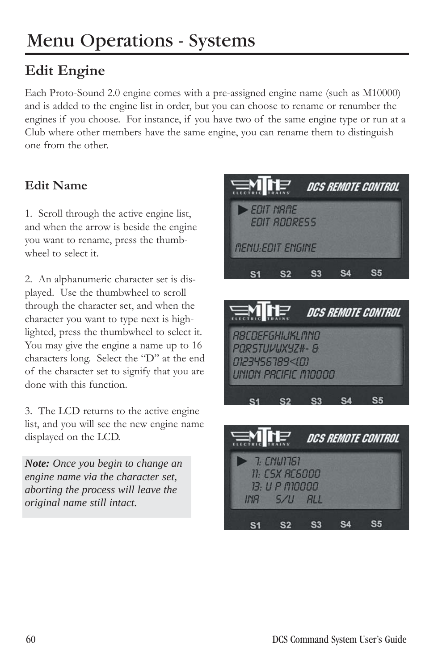# **Edit Engine**

Each Proto-Sound 2.0 engine comes with a pre-assigned engine name (such as M10000) and is added to the engine list in order, but you can choose to rename or renumber the engines if you choose. For instance, if you have two of the same engine type or run at a Club where other members have the same engine, you can rename them to distinguish one from the other.

### **Edit Name**

1. Scroll through the active engine list, and when the arrow is beside the engine you want to rename, press the thumbwheel to select it.

2. An alphanumeric character set is displayed. Use the thumbwheel to scroll through the character set, and when the character you want to type next is highlighted, press the thumbwheel to select it. You may give the engine a name up to 16 characters long. Select the "D" at the end of the character set to signify that you are done with this function.

3. The LCD returns to the active engine list, and you will see the new engine name displayed on the LCD.

*Note: Once you begin to change an engine name via the character set, aborting the process will leave the original name still intact.*



 $S3$ 

 $S<sub>1</sub>$ 

 $S<sub>2</sub>$ 

**S4** 

 $S<sub>5</sub>$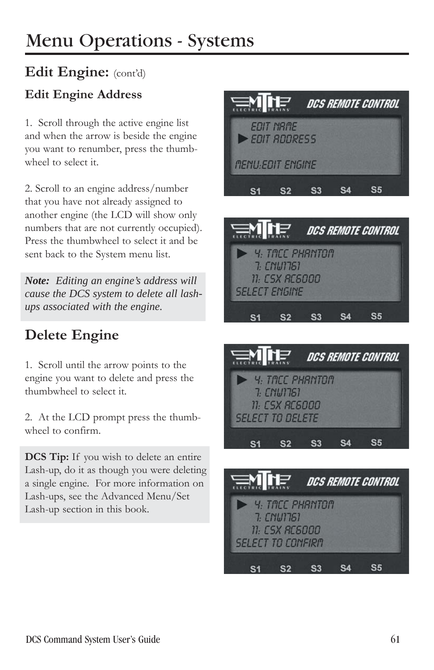## **Edit Engine:** (cont'd)

### **Edit Engine Address**

1. Scroll through the active engine list and when the arrow is beside the engine you want to renumber, press the thumbwheel to select it.

2. Scroll to an engine address/number that you have not already assigned to another engine (the LCD will show only numbers that are not currently occupied). Press the thumbwheel to select it and be sent back to the System menu list.

*Note: Editing an engine's address will cause the DCS system to delete all lashups associated with the engine.*

# **Delete Engine**

1. Scroll until the arrow points to the engine you want to delete and press the thumbwheel to select it.

2. At the LCD prompt press the thumbwheel to confirm.

**DCS Tip:** If you wish to delete an entire Lash-up, do it as though you were deleting a single engine. For more information on Lash-ups, see the Advanced Menu/Set Lash-up section in this book.







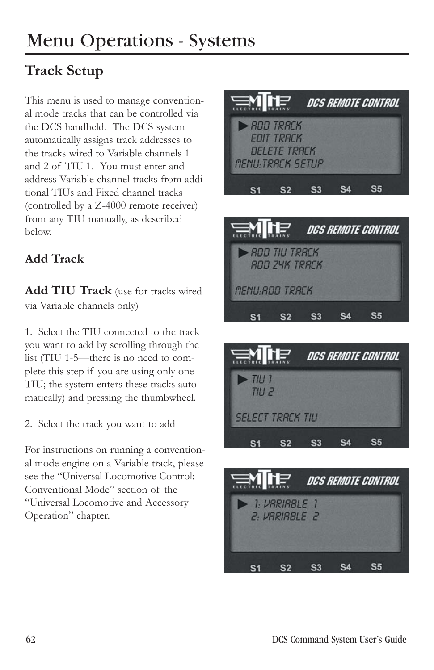# **Track Setup**

This menu is used to manage conventional mode tracks that can be controlled via the DCS handheld. The DCS system automatically assigns track addresses to the tracks wired to Variable channels 1 and 2 of TIU 1. You must enter and address Variable channel tracks from additional TIUs and Fixed channel tracks (controlled by a Z-4000 remote receiver) from any TIU manually, as described below.

### **Add Track**

**Add TIU Track** (use for tracks wired via Variable channels only)

1. Select the TIU connected to the track you want to add by scrolling through the list (TIU 1-5—there is no need to complete this step if you are using only one TIU; the system enters these tracks automatically) and pressing the thumbwheel.

2. Select the track you want to add

For instructions on running a conventional mode engine on a Variable track, please see the "Universal Locomotive Control: Conventional Mode" section of the "Universal Locomotive and Accessory Operation" chapter.







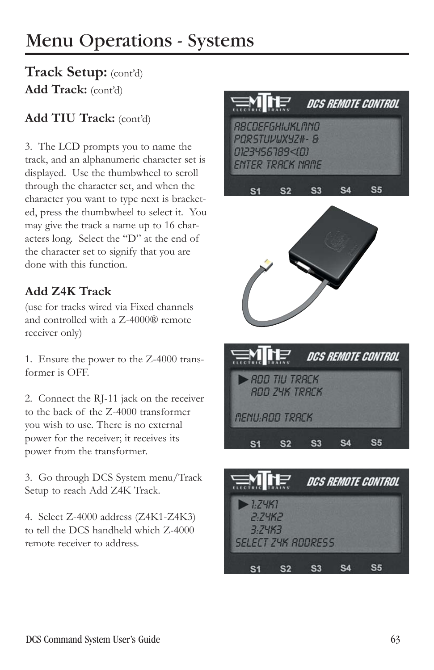## **Track Setup:** (cont'd) **Add Track:** (cont'd)

### **Add TIU Track:** (cont'd)

3. The LCD prompts you to name the track, and an alphanumeric character set is displayed. Use the thumbwheel to scroll through the character set, and when the character you want to type next is bracketed, press the thumbwheel to select it. You may give the track a name up to 16 characters long. Select the "D" at the end of the character set to signify that you are done with this function.

### **Add Z4K Track**

(use for tracks wired via Fixed channels and controlled with a Z-4000® remote receiver only)

1. Ensure the power to the Z-4000 transformer is OFF.

2. Connect the RJ-11 jack on the receiver to the back of the Z-4000 transformer you wish to use. There is no external power for the receiver; it receives its power from the transformer.

3. Go through DCS System menu/Track Setup to reach Add Z4K Track.

4. Select Z-4000 address (Z4K1-Z4K3) to tell the DCS handheld which Z-4000 remote receiver to address.







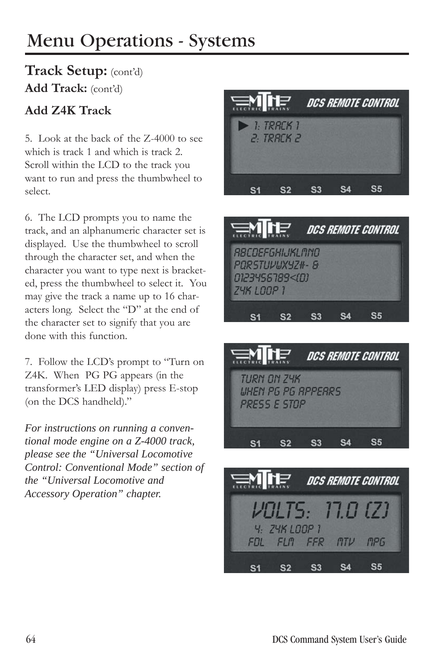### **Track Setup:** (cont'd) **Add Track:** (cont'd)

### **Add Z4K Track**

5. Look at the back of the Z-4000 to see which is track 1 and which is track 2. Scroll within the LCD to the track you want to run and press the thumbwheel to select.

6. The LCD prompts you to name the track, and an alphanumeric character set is displayed. Use the thumbwheel to scroll through the character set, and when the character you want to type next is bracketed, press the thumbwheel to select it. You may give the track a name up to 16 characters long. Select the "D" at the end of the character set to signify that you are done with this function.

7. Follow the LCD's prompt to "Turn on Z4K. When PG PG appears (in the transformer's LED display) press E-stop (on the DCS handheld)."

*For instructions on running a conventional mode engine on a Z-4000 track, please see the "Universal Locomotive Control: Conventional Mode" section of the "Universal Locomotive and Accessory Operation" chapter.*







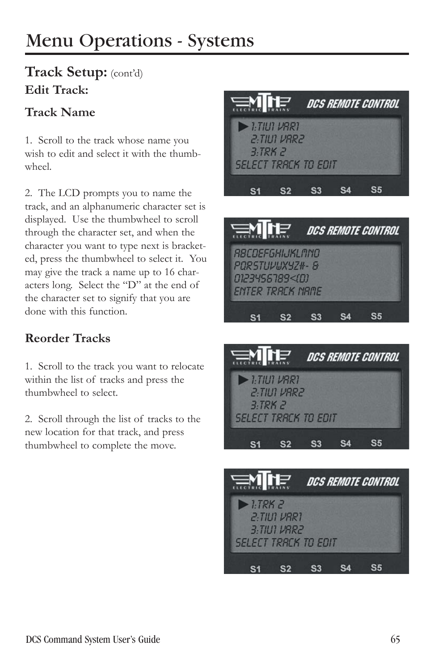# **Track Setup:** (cont'd) **Edit Track:**

### **Track Name**

1. Scroll to the track whose name you wish to edit and select it with the thumbwheel.

2. The LCD prompts you to name the track, and an alphanumeric character set is displayed. Use the thumbwheel to scroll through the character set, and when the character you want to type next is bracketed, press the thumbwheel to select it. You may give the track a name up to 16 characters long. Select the "D" at the end of the character set to signify that you are done with this function.

### **Reorder Tracks**

1. Scroll to the track you want to relocate within the list of tracks and press the thumbwheel to select.

2. Scroll through the list of tracks to the new location for that track, and press thumbwheel to complete the move.







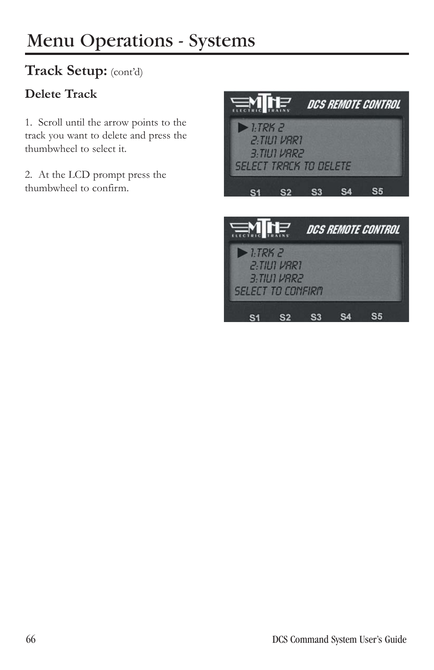# **Track Setup:** (cont'd)

### **Delete Track**

1. Scroll until the arrow points to the track you want to delete and press the thumbwheel to select it.

2. At the LCD prompt press the thumbwheel to confirm.



**SELECT TO CONFIRM** 

S1 S2 S3 S4

 $S<sub>5</sub>$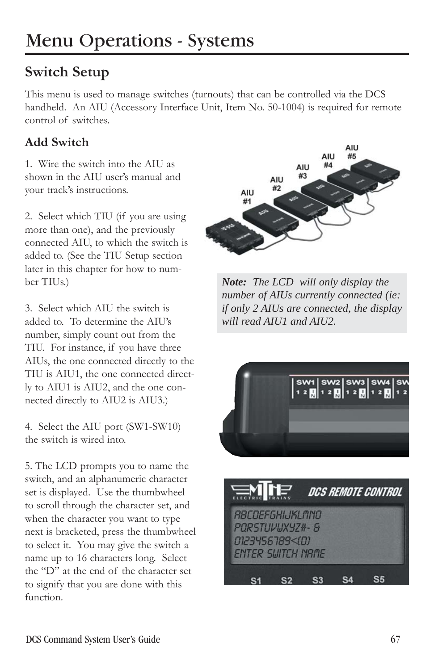# **Switch Setup**

This menu is used to manage switches (turnouts) that can be controlled via the DCS handheld. An AIU (Accessory Interface Unit, Item No. 50-1004) is required for remote control of switches.

### **Add Switch**

1. Wire the switch into the AIU as shown in the AIU user's manual and your track's instructions.

2. Select which TIU (if you are using more than one), and the previously connected AIU, to which the switch is added to. (See the TIU Setup section later in this chapter for how to number TIUs.)

3. Select which AIU the switch is added to. To determine the AIU's number, simply count out from the TIU. For instance, if you have three AIUs, the one connected directly to the TIU is AIU1, the one connected directly to AIU1 is AIU2, and the one connected directly to AIU2 is AIU3.)

4. Select the AIU port (SW1-SW10) the switch is wired into.

5. The LCD prompts you to name the switch, and an alphanumeric character set is displayed. Use the thumbwheel to scroll through the character set, and when the character you want to type next is bracketed, press the thumbwheel to select it. You may give the switch a name up to 16 characters long. Select the "D" at the end of the character set to signify that you are done with this function.



*Note: The LCD will only display the number of AIUs currently connected (ie: if only 2 AIUs are connected, the display will read AIU1 and AIU2.*



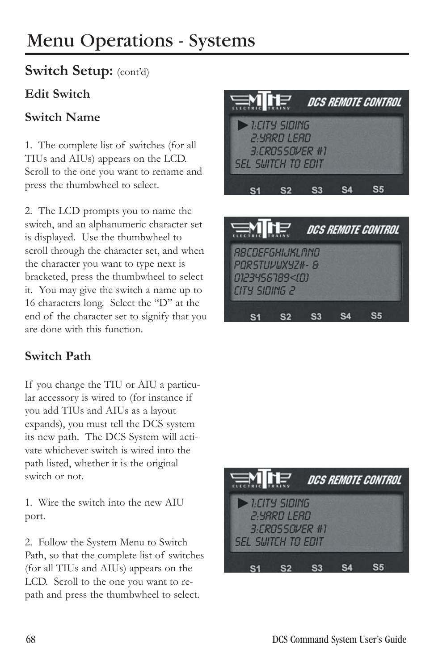### **Switch Setup:** (cont'd)

### **Edit Switch**

#### **Switch Name**

1. The complete list of switches (for all TIUs and AIUs) appears on the LCD. Scroll to the one you want to rename and press the thumbwheel to select.

2. The LCD prompts you to name the switch, and an alphanumeric character set is displayed. Use the thumbwheel to scroll through the character set, and when the character you want to type next is bracketed, press the thumbwheel to select it. You may give the switch a name up to 16 characters long. Select the "D" at the end of the character set to signify that you are done with this function.

### **Switch Path**

If you change the TIU or AIU a particular accessory is wired to (for instance if you add TIUs and AIUs as a layout expands), you must tell the DCS system its new path. The DCS System will activate whichever switch is wired into the path listed, whether it is the original switch or not.

1. Wire the switch into the new AIU port.

2. Follow the System Menu to Switch Path, so that the complete list of switches (for all TIUs and AIUs) appears on the LCD. Scroll to the one you want to repath and press the thumbwheel to select.



S<sub>5</sub>  $S3$ **S4** S<sub>1</sub> S<sub>2</sub>

CITY SIDING 2

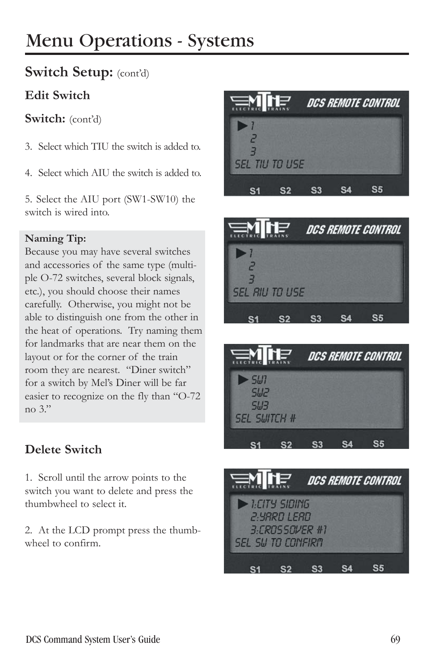### **Switch Setup:** (cont'd)

#### **Edit Switch**

Switch: (cont'd)

- 3. Select which TIU the switch is added to.
- 4. Select which AIU the switch is added to.

5. Select the AIU port (SW1-SW10) the switch is wired into.

#### **Naming Tip:**

Because you may have several switches and accessories of the same type (multiple O-72 switches, several block signals, etc.), you should choose their names carefully. Otherwise, you might not be able to distinguish one from the other in the heat of operations. Try naming them for landmarks that are near them on the layout or for the corner of the train room they are nearest. "Diner switch" for a switch by Mel's Diner will be far easier to recognize on the fly than "O-72 no 3."

### **Delete Switch**

1. Scroll until the arrow points to the switch you want to delete and press the thumbwheel to select it.

2. At the LCD prompt press the thumbwheel to confirm.







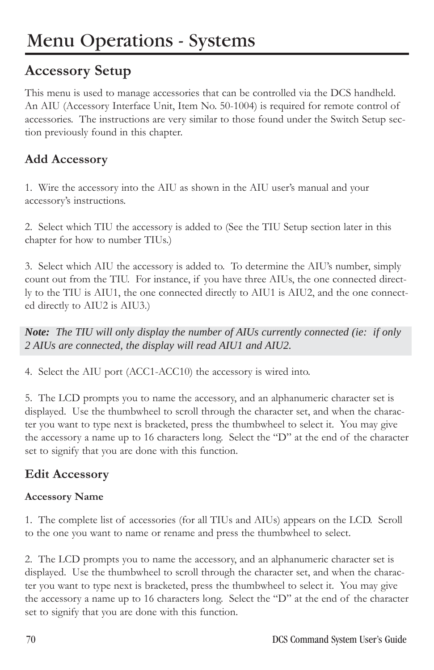# **Accessory Setup**

This menu is used to manage accessories that can be controlled via the DCS handheld. An AIU (Accessory Interface Unit, Item No. 50-1004) is required for remote control of accessories. The instructions are very similar to those found under the Switch Setup section previously found in this chapter.

### **Add Accessory**

1. Wire the accessory into the AIU as shown in the AIU user's manual and your accessory's instructions.

2. Select which TIU the accessory is added to (See the TIU Setup section later in this chapter for how to number TIUs.)

3. Select which AIU the accessory is added to. To determine the AIU's number, simply count out from the TIU. For instance, if you have three AIUs, the one connected directly to the TIU is AIU1, the one connected directly to AIU1 is AIU2, and the one connected directly to AIU2 is AIU3.)

*Note: The TIU will only display the number of AIUs currently connected (ie: if only 2 AIUs are connected, the display will read AIU1 and AIU2.*

4. Select the AIU port (ACC1-ACC10) the accessory is wired into.

5. The LCD prompts you to name the accessory, and an alphanumeric character set is displayed. Use the thumbwheel to scroll through the character set, and when the character you want to type next is bracketed, press the thumbwheel to select it. You may give the accessory a name up to 16 characters long. Select the "D" at the end of the character set to signify that you are done with this function.

#### **Edit Accessory**

#### **Accessory Name**

1. The complete list of accessories (for all TIUs and AIUs) appears on the LCD. Scroll to the one you want to name or rename and press the thumbwheel to select.

2. The LCD prompts you to name the accessory, and an alphanumeric character set is displayed. Use the thumbwheel to scroll through the character set, and when the character you want to type next is bracketed, press the thumbwheel to select it. You may give the accessory a name up to 16 characters long. Select the "D" at the end of the character set to signify that you are done with this function.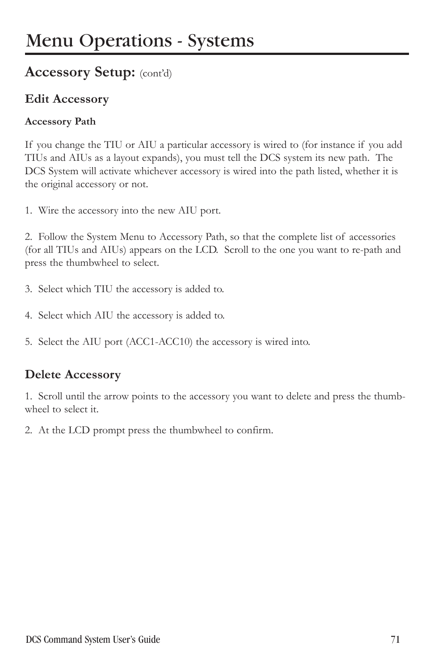### **Accessory Setup:** (cont'd)

#### **Edit Accessory**

#### **Accessory Path**

If you change the TIU or AIU a particular accessory is wired to (for instance if you add TIUs and AIUs as a layout expands), you must tell the DCS system its new path. The DCS System will activate whichever accessory is wired into the path listed, whether it is the original accessory or not.

1. Wire the accessory into the new AIU port.

2. Follow the System Menu to Accessory Path, so that the complete list of accessories (for all TIUs and AIUs) appears on the LCD. Scroll to the one you want to re-path and press the thumbwheel to select.

- 3. Select which TIU the accessory is added to.
- 4. Select which AIU the accessory is added to.
- 5. Select the AIU port (ACC1-ACC10) the accessory is wired into.

#### **Delete Accessory**

1. Scroll until the arrow points to the accessory you want to delete and press the thumbwheel to select it.

2. At the LCD prompt press the thumbwheel to confirm.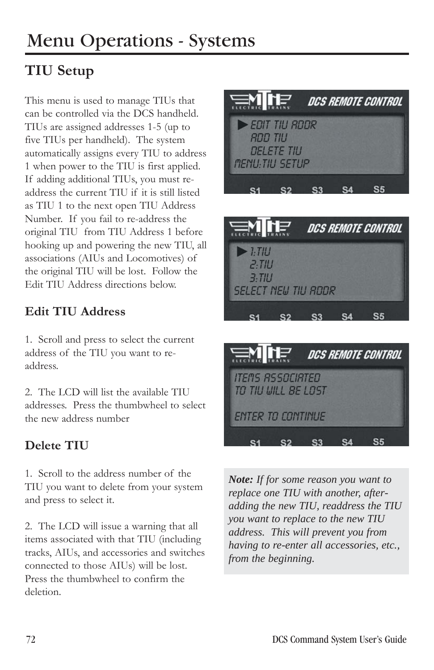# **TIU Setup**

This menu is used to manage TIUs that can be controlled via the DCS handheld. TIUs are assigned addresses 1-5 (up to five TIUs per handheld). The system automatically assigns every TIU to address 1 when power to the TIU is first applied. If adding additional TIUs, you must readdress the current TIU if it is still listed as TIU 1 to the next open TIU Address Number. If you fail to re-address the original TIU from TIU Address 1 before hooking up and powering the new TIU, all associations (AIUs and Locomotives) of the original TIU will be lost. Follow the Edit TIU Address directions below.

### **Edit TIU Address**

1. Scroll and press to select the current address of the TIU you want to readdress.

2. The LCD will list the available TIU addresses. Press the thumbwheel to select the new address number

### **Delete TIU**

1. Scroll to the address number of the TIU you want to delete from your system and press to select it.

2. The LCD will issue a warning that all items associated with that TIU (including tracks, AIUs, and accessories and switches connected to those AIUs) will be lost. Press the thumbwheel to confirm the deletion.





S3 S4

 $S<sub>2</sub>$ 

**S5** 

*Note: If for some reason you want to replace one TIU with another, afteradding the new TIU, readdress the TIU you want to replace to the new TIU address. This will prevent you from having to re-enter all accessories, etc., from the beginning.*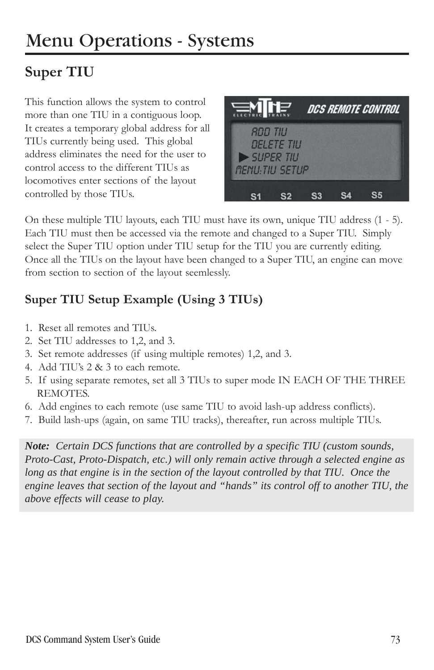# **Super TIU**

This function allows the system to control more than one TIU in a contiguous loop. It creates a temporary global address for all TIUs currently being used. This global address eliminates the need for the user to control access to the different TIUs as locomotives enter sections of the layout controlled by those TIUs.



On these multiple TIU layouts, each TIU must have its own, unique TIU address (1 - 5). Each TIU must then be accessed via the remote and changed to a Super TIU. Simply select the Super TIU option under TIU setup for the TIU you are currently editing. Once all the TIUs on the layout have been changed to a Super TIU, an engine can move from section to section of the layout seemlessly.

### **Super TIU Setup Example (Using 3 TIUs)**

- 1. Reset all remotes and TIUs.
- 2. Set TIU addresses to 1,2, and 3.
- 3. Set remote addresses (if using multiple remotes) 1,2, and 3.
- 4. Add TIU's 2 & 3 to each remote.
- 5. If using separate remotes, set all 3 TIUs to super mode IN EACH OF THE THREE REMOTES.
- 6. Add engines to each remote (use same TIU to avoid lash-up address conflicts).
- 7. Build lash-ups (again, on same TIU tracks), thereafter, run across multiple TIUs.

*Note: Certain DCS functions that are controlled by a specific TIU (custom sounds, Proto-Cast, Proto-Dispatch, etc.) will only remain active through a selected engine as long as that engine is in the section of the layout controlled by that TIU. Once the engine leaves that section of the layout and "hands" its control off to another TIU, the above effects will cease to play.*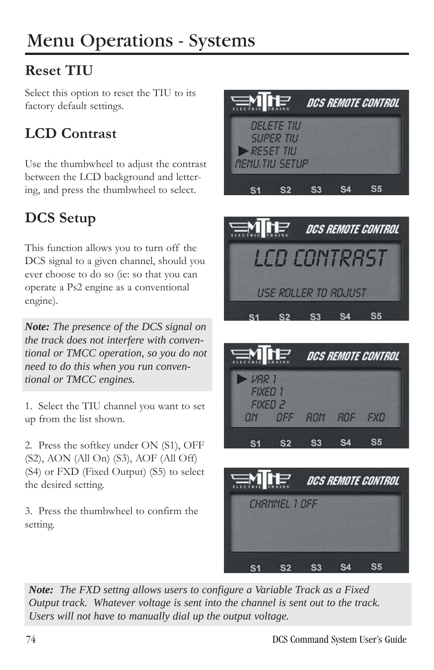# **Reset TIU**

Select this option to reset the TIU to its factory default settings.

# **LCD Contrast**

Use the thumbwheel to adjust the contrast between the LCD background and lettering, and press the thumbwheel to select.

# **DCS Setup**

This function allows you to turn off the DCS signal to a given channel, should you ever choose to do so (ie: so that you can operate a Ps2 engine as a conventional engine).

*Note: The presence of the DCS signal on the track does not interfere with conventional or TMCC operation, so you do not need to do this when you run conventional or TMCC engines.*

1. Select the TIU channel you want to set up from the list shown.

2. Press the softkey under ON (S1), OFF (S2), AON (All On) (S3), AOF (All Off) (S4) or FXD (Fixed Output) (S5) to select the desired setting.

3. Press the thumbwheel to confirm the setting.





|                                                                           | <b>SALLE</b>    |  | DCS REMOTE CONTROL |  |  |  |
|---------------------------------------------------------------------------|-----------------|--|--------------------|--|--|--|
| $\nu$ <sub>RR</sub> 1<br><b>FIXED 1</b><br>FIXED <sub>2</sub><br>$\Box N$ | OFF ROM ROF FXD |  |                    |  |  |  |
|                                                                           |                 |  |                    |  |  |  |



*Note: The FXD settng allows users to configure a Variable Track as a Fixed Output track. Whatever voltage is sent into the channel is sent out to the track. Users will not have to manually dial up the output voltage.*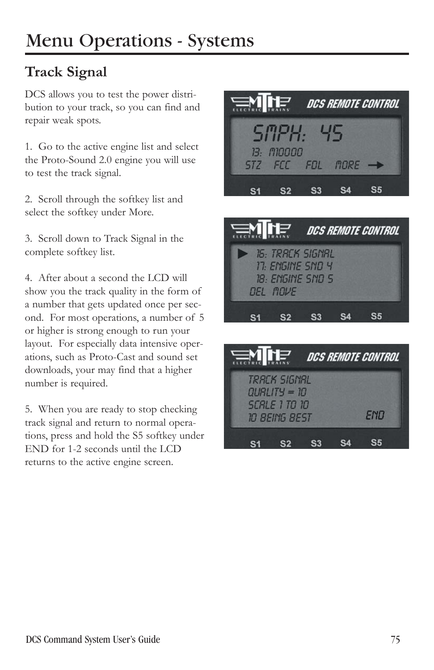# **Track Signal**

DCS allows you to test the power distribution to your track, so you can find and repair weak spots.

1. Go to the active engine list and select the Proto-Sound 2.0 engine you will use to test the track signal.

2. Scroll through the softkey list and select the softkey under More.

3. Scroll down to Track Signal in the complete softkey list.

4. After about a second the LCD will show you the track quality in the form of a number that gets updated once per second. For most operations, a number of 5 or higher is strong enough to run your layout. For especially data intensive operations, such as Proto-Cast and sound set downloads, your may find that a higher number is required.

5. When you are ready to stop checking track signal and return to normal operations, press and hold the S5 softkey under END for 1-2 seconds until the LCD returns to the active engine screen.





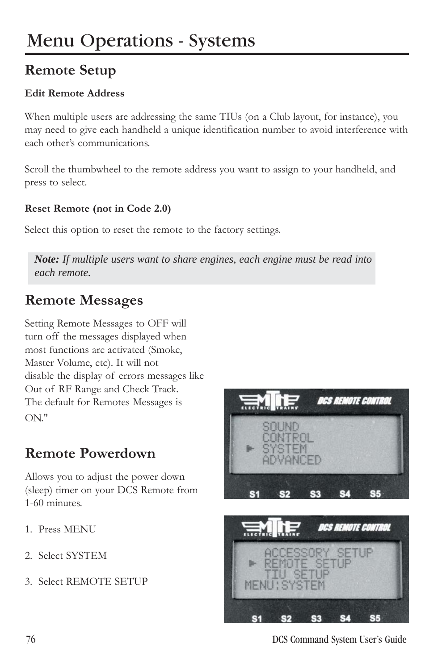# **Remote Setup**

#### **Edit Remote Address**

When multiple users are addressing the same TIUs (on a Club layout, for instance), you may need to give each handheld a unique identification number to avoid interference with each other's communications.

Scroll the thumbwheel to the remote address you want to assign to your handheld, and press to select.

#### **Reset Remote (not in Code 2.0)**

Select this option to reset the remote to the factory settings.

*Note: If multiple users want to share engines, each engine must be read into each remote.*

### **Remote Messages**

Setting Remote Messages to OFF will turn off the messages displayed when most functions are activated (Smoke, Master Volume, etc). It will not disable the display of errors messages like Out of RF Range and Check Track. The default for Remotes Messages is ON."

### **Remote Powerdown**

Allows you to adjust the power down (sleep) timer on your DCS Remote from 1-60 minutes.

- 1. Press MENU
- 2. Select SYSTEM
- 3. Select REMOTE SETUP





76 DCS Command System User's Guide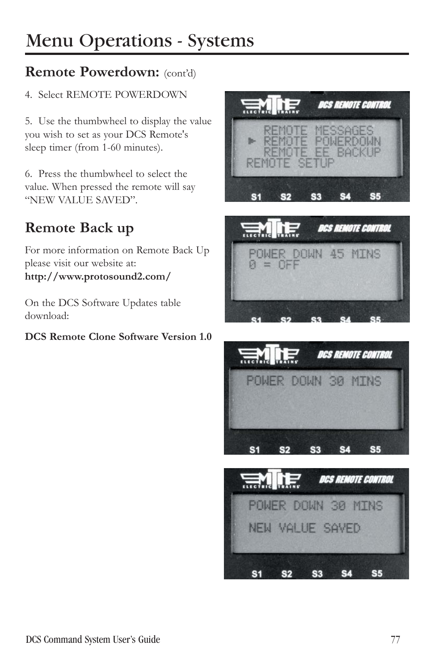## **Remote Powerdown:** (cont'd)

#### 4. Select REMOTE POWERDOWN

5. Use the thumbwheel to display the value you wish to set as your DCS Remote's sleep timer (from 1-60 minutes).

6. Press the thumbwheel to select the value. When pressed the remote will say "NEW VALUE SAVED".

# **Remote Back up**

For more information on Remote Back Up please visit our website at: **http://www.protosound2.com/**

On the DCS Software Updates table download:

#### **DCS Remote Clone Software Version 1.0**





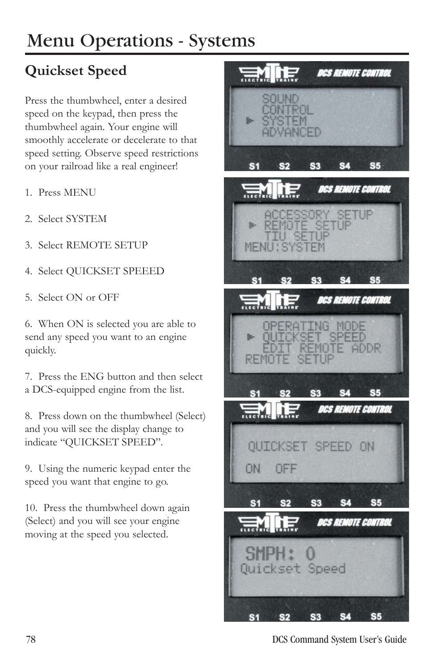# **Quickset Speed**

Press the thumbwheel, enter a desired speed on the keypad, then press the thumbwheel again. Your engine will smoothly accelerate or decelerate to that speed setting. Observe speed restrictions on your railroad like a real engineer!

- 1. Press MENU
- 2. Select SYSTEM
- 3. Select REMOTE SETUP
- 4. Select QUICKSET SPEEED
- 5. Select ON or OFF

6. When ON is selected you are able to send any speed you want to an engine quickly.

7. Press the ENG button and then select a DCS-equipped engine from the list.

8. Press down on the thumbwheel (Select) and you will see the display change to indicate "QUICKSET SPEED".

9. Using the numeric keypad enter the speed you want that engine to go.

10. Press the thumbwheel down again (Select) and you will see your engine moving at the speed you selected.



78 DCS Command System User's Guide